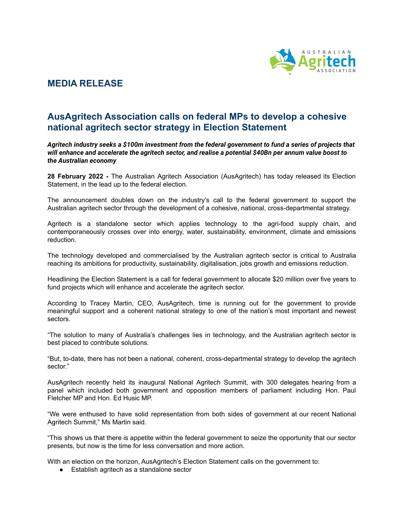

## **MEDIA RELEASE**

## **AusAgritech Association calls on federal MPs to develop a cohesive national agritech sector strategy in Election Statement**

*Agritech industry seeks a \$100m investment from the federal government to fund a series of projects that will enhance and accelerate the agritech sector, and realise a potential \$40Bn per annum value boost to the Australian economy*

**28 February 2022 -** The Australian Agritech Association (AusAgritech) has today released its Election Statement, in the lead up to the federal election.

The announcement doubles down on the industry's call to the federal government to support the Australian agritech sector through the development of a cohesive, national, cross-departmental strategy.

Agritech is a standalone sector which applies technology to the agri-food supply chain, and contemporaneously crosses over into energy, water, sustainability, environment, climate and emissions reduction.

The technology developed and commercialised by the Australian agritech sector is critical to Australia reaching its ambitions for productivity, sustainability, digitalisation, jobs growth and emissions reduction.

Headlining the Election Statement is a call for federal government to allocate \$20 million over five years to fund projects which will enhance and accelerate the agritech sector.

According to Tracey Martin, CEO, AusAgritech, time is running out for the government to provide meaningful support and a coherent national strategy to one of the nation's most important and newest sectors.

"The solution to many of Australia's challenges lies in technology, and the Australian agritech sector is best placed to contribute solutions.

"But, to-date, there has not been a national, coherent, cross-departmental strategy to develop the agritech sector."

AusAgritech recently held its inaugural National Agritech Summit, with 300 delegates hearing from a panel which included both government and opposition members of parliament including Hon. Paul Fletcher MP and Hon. Ed Husic MP.

"We were enthused to have solid representation from both sides of government at our recent National Agritech Summit," Ms Martin said.

"This shows us that there is appetite within the federal government to seize the opportunity that our sector presents, but now is the time for less conversation and more action.

With an election on the horizon, AusAgritech's Election Statement calls on the government to:

● Establish agritech as a standalone sector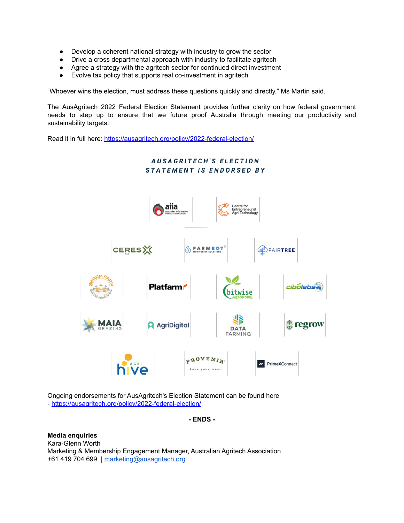- Develop a coherent national strategy with industry to grow the sector
- Drive a cross departmental approach with industry to facilitate agritech
- Agree a strategy with the agritech sector for continued direct investment
- Evolve tax policy that supports real co-investment in agritech

"Whoever wins the election, must address these questions quickly and directly," Ms Martin said.

The AusAgritech 2022 Federal Election Statement provides further clarity on how federal government needs to step up to ensure that we future proof Australia through meeting our productivity and sustainability targets.

Read it in full here: <https://ausagritech.org/policy/2022-federal-election/>



Ongoing endorsements for AusAgritech's Election Statement can be found here - [https://ausagritech.org/policy/2022-federal-election/](https://protect-eu.mimecast.com/s/_lK2Cjqw8I3MEDZ8fWlMBx?domain=ausagritech.org)

**- ENDS -**

**Media enquiries** Kara-Glenn Worth Marketing & Membership Engagement Manager, Australian Agritech Association +61 419 704 699 | [marketing@ausagritech.org](mailto:marketing@ausagritech.org)